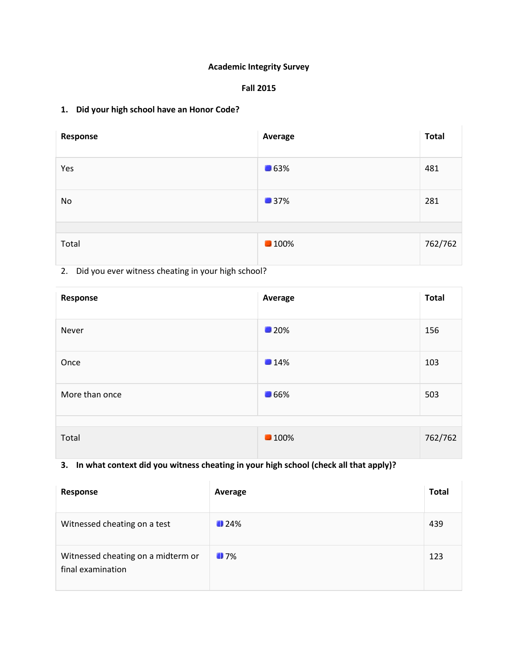### **Academic Integrity Survey**

#### **Fall 2015**

### **1. Did your high school have an Honor Code?**

| Response | Average            | <b>Total</b> |
|----------|--------------------|--------------|
| Yes      | $\blacksquare$ 63% | 481          |
| No       | 137%               | 281          |
|          |                    |              |
| Total    | <b>100%</b>        | 762/762      |

### 2. Did you ever witness cheating in your high school?

| Response       | Average            | <b>Total</b> |
|----------------|--------------------|--------------|
| Never          | $\blacksquare$ 20% | 156          |
| Once           | 14%                | 103          |
| More than once | <b>166%</b>        | 503          |
|                |                    |              |
| Total          | <b>100%</b>        | 762/762      |

### **3. In what context did you witness cheating in your high school (check all that apply)?**

| Response                                                | Average            | <b>Total</b> |
|---------------------------------------------------------|--------------------|--------------|
| Witnessed cheating on a test                            | $\blacksquare$ 24% | 439          |
| Witnessed cheating on a midterm or<br>final examination | 17%                | 123          |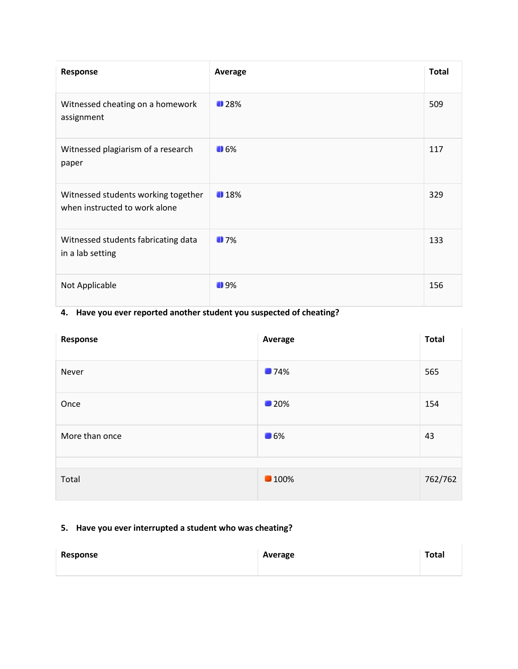| Response                                                             | Average           | <b>Total</b> |
|----------------------------------------------------------------------|-------------------|--------------|
| Witnessed cheating on a homework<br>assignment                       | 128%              | 509          |
| Witnessed plagiarism of a research<br>paper                          | $\blacksquare$ 6% | 117          |
| Witnessed students working together<br>when instructed to work alone | 18%               | 329          |
| Witnessed students fabricating data<br>in a lab setting              | 17%               | 133          |
| Not Applicable                                                       | $\blacksquare$ 9% | 156          |

## **4. Have you ever reported another student you suspected of cheating?**

| Response       | Average            | <b>Total</b> |
|----------------|--------------------|--------------|
| Never          | <b>174%</b>        | 565          |
| Once           | $\blacksquare$ 20% | 154          |
| More than once | $\blacksquare$ 6%  | 43           |
| Total          | <b>100%</b>        | 762/762      |

# **5. Have you ever interrupted a student who was cheating?**

| Response | Average | <b>Total</b> |
|----------|---------|--------------|
|          |         |              |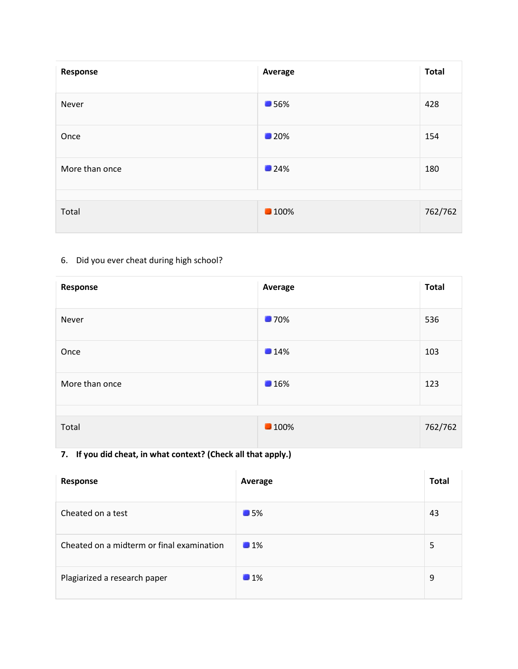| Response       | Average     | <b>Total</b> |
|----------------|-------------|--------------|
| Never          | <b>156%</b> | 428          |
| Once           | <b>120%</b> | 154          |
| More than once | 124%        | 180          |
| Total          | <b>100%</b> | 762/762      |

# 6. Did you ever cheat during high school?

| Response       | Average     | <b>Total</b> |
|----------------|-------------|--------------|
| Never          | <b>170%</b> | 536          |
| Once           | 14%         | 103          |
| More than once | 16%         | 123          |
| Total          | <b>100%</b> | 762/762      |

# **7. If you did cheat, in what context? (Check all that apply.)**

| Response                                  | Average           | <b>Total</b> |
|-------------------------------------------|-------------------|--------------|
| Cheated on a test                         | $\blacksquare$ 5% | 43           |
| Cheated on a midterm or final examination | $\blacksquare$ 1% | 5            |
| Plagiarized a research paper              | $\blacksquare$ 1% | 9            |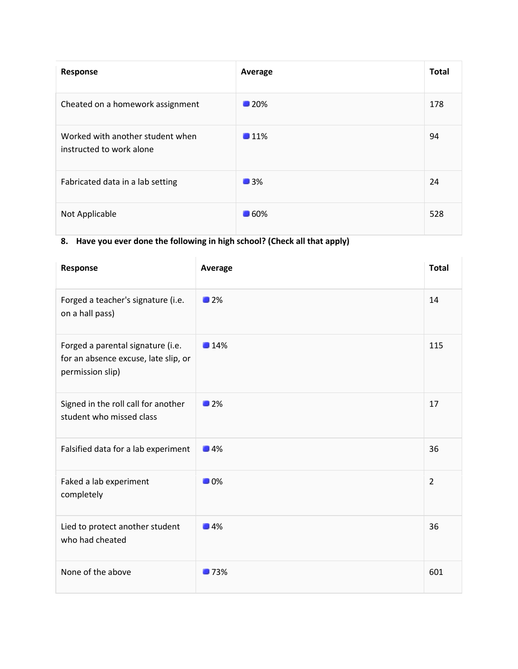| Response                                                     | Average            | <b>Total</b> |
|--------------------------------------------------------------|--------------------|--------------|
| Cheated on a homework assignment                             | $\blacksquare$ 20% | 178          |
| Worked with another student when<br>instructed to work alone | $\blacksquare$ 11% | 94           |
| Fabricated data in a lab setting                             | $\blacksquare$ 3%  | 24           |
| Not Applicable                                               | <b>160%</b>        | 528          |

# **8. Have you ever done the following in high school? (Check all that apply)**

| Response                                                                                      | <b>Average</b>    | <b>Total</b>   |
|-----------------------------------------------------------------------------------------------|-------------------|----------------|
| Forged a teacher's signature (i.e.<br>on a hall pass)                                         | $\blacksquare$ 2% | 14             |
| Forged a parental signature (i.e.<br>for an absence excuse, late slip, or<br>permission slip) | 14%               | 115            |
| Signed in the roll call for another<br>student who missed class                               | 12%               | 17             |
| Falsified data for a lab experiment                                                           | $\blacksquare$ 4% | 36             |
| Faked a lab experiment<br>completely                                                          | $\blacksquare$ 0% | $\overline{2}$ |
| Lied to protect another student<br>who had cheated                                            | $\blacksquare$ 4% | 36             |
| None of the above                                                                             | 173%              | 601            |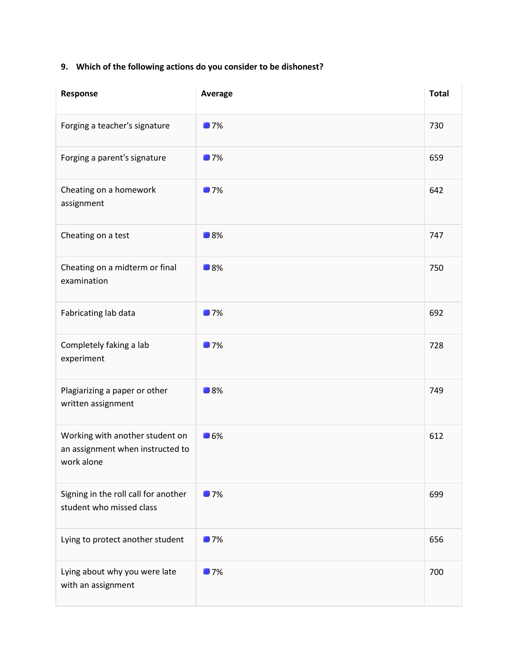## **9. Which of the following actions do you consider to be dishonest?**

| Response                                                                          | Average           | <b>Total</b> |
|-----------------------------------------------------------------------------------|-------------------|--------------|
| Forging a teacher's signature                                                     | 17%               | 730          |
| Forging a parent's signature                                                      | 17%               | 659          |
| Cheating on a homework<br>assignment                                              | 17%               | 642          |
| Cheating on a test                                                                | $\blacksquare$ 8% | 747          |
| Cheating on a midterm or final<br>examination                                     | $\blacksquare$ 8% | 750          |
| Fabricating lab data                                                              | 17%               | 692          |
| Completely faking a lab<br>experiment                                             | 17%               | 728          |
| Plagiarizing a paper or other<br>written assignment                               | $\blacksquare$ 8% | 749          |
| Working with another student on<br>an assignment when instructed to<br>work alone | $\blacksquare$ 6% | 612          |
| Signing in the roll call for another<br>student who missed class                  | 17%               | 699          |
| Lying to protect another student                                                  | 17%               | 656          |
| Lying about why you were late<br>with an assignment                               | 17%               | 700          |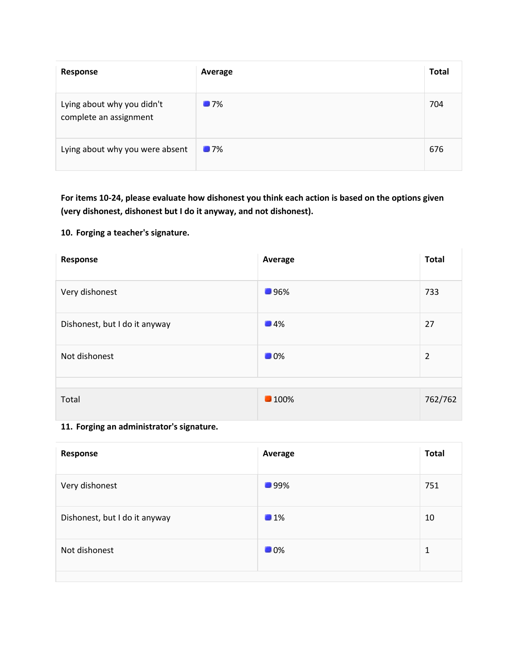| Response                                             | Average           | <b>Total</b> |
|------------------------------------------------------|-------------------|--------------|
| Lying about why you didn't<br>complete an assignment | $\blacksquare$ 7% | 704          |
| Lying about why you were absent                      | $\blacksquare$ 7% | 676          |

**For items 10-24, please evaluate how dishonest you think each action is based on the options given (very dishonest, dishonest but I do it anyway, and not dishonest).**

#### **10. Forging a teacher's signature.**

| Response                      | Average           | <b>Total</b>   |
|-------------------------------|-------------------|----------------|
| Very dishonest                | ■96%              | 733            |
| Dishonest, but I do it anyway | $\blacksquare$ 4% | 27             |
| Not dishonest                 | $\blacksquare$ 0% | $\overline{2}$ |
| Total                         | <b>100%</b>       | 762/762        |

**<sup>11.</sup> Forging an administrator's signature.**

| Response                      | Average           | <b>Total</b> |
|-------------------------------|-------------------|--------------|
| Very dishonest                | <b>199%</b>       | 751          |
| Dishonest, but I do it anyway | 1%                | 10           |
| Not dishonest                 | $\blacksquare$ 0% | 1            |
|                               |                   |              |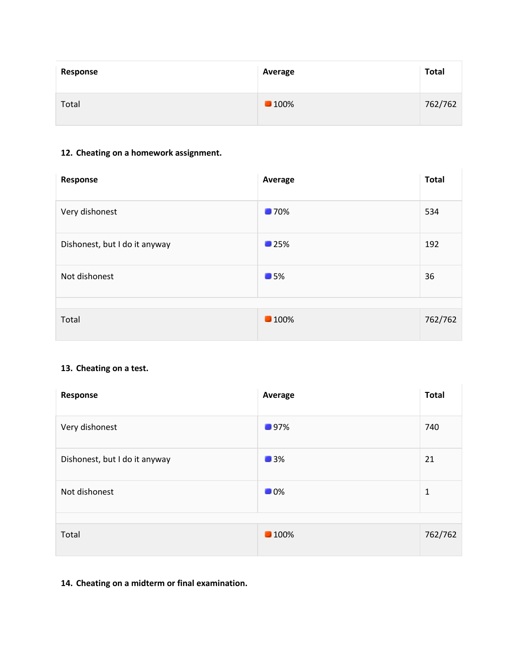| Response | Average             | <b>Total</b> |
|----------|---------------------|--------------|
| Total    | $\blacksquare$ 100% | 762/762      |

### **12. Cheating on a homework assignment.**

| Response                      | Average            | <b>Total</b> |
|-------------------------------|--------------------|--------------|
| Very dishonest                | <b>170%</b>        | 534          |
| Dishonest, but I do it anyway | $\blacksquare$ 25% | 192          |
| Not dishonest                 | $\blacksquare$ 5%  | 36           |
| Total                         | <b>100%</b>        | 762/762      |

### **13. Cheating on a test.**

| Response                      | Average           | <b>Total</b> |
|-------------------------------|-------------------|--------------|
| Very dishonest                | <b>197%</b>       | 740          |
| Dishonest, but I do it anyway | 13%               | 21           |
| Not dishonest                 | $\blacksquare$ 0% | 1            |
| Total                         | <b>100%</b>       | 762/762      |

### **14. Cheating on a midterm or final examination.**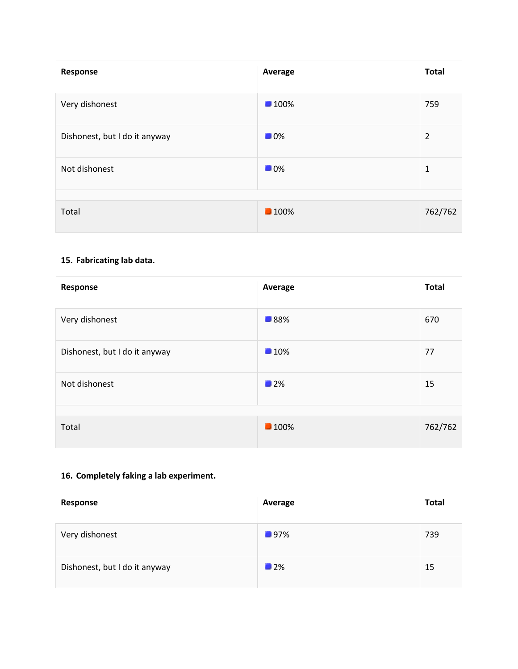| Response                      | Average           | <b>Total</b>   |
|-------------------------------|-------------------|----------------|
| Very dishonest                | <b>100%</b>       | 759            |
| Dishonest, but I do it anyway | $\blacksquare$ 0% | $\overline{2}$ |
| Not dishonest                 | $\blacksquare$ 0% | 1              |
| Total                         | <b>100%</b>       | 762/762        |

### **15. Fabricating lab data.**

| Response                      | Average     | <b>Total</b> |
|-------------------------------|-------------|--------------|
| Very dishonest                | ■88%        | 670          |
| Dishonest, but I do it anyway | 10%         | 77           |
| Not dishonest                 | 12%         | 15           |
| Total                         | <b>100%</b> | 762/762      |

## **16. Completely faking a lab experiment.**

| Response                      | Average           | <b>Total</b> |
|-------------------------------|-------------------|--------------|
| Very dishonest                | 197%              | 739          |
| Dishonest, but I do it anyway | $\blacksquare$ 2% | 15           |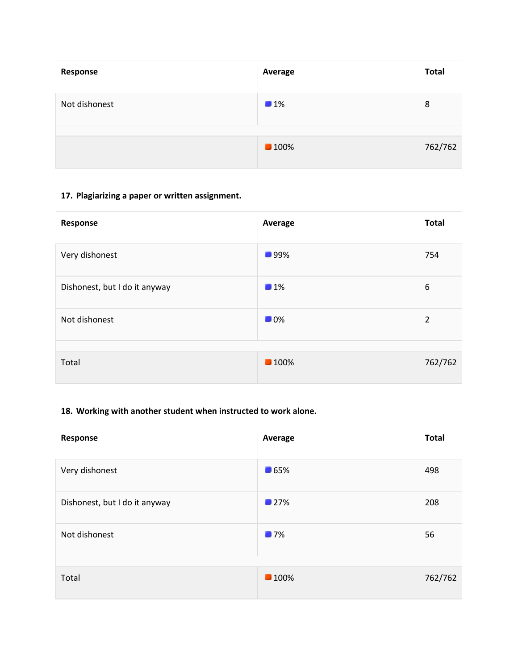| Response      | Average             | <b>Total</b> |
|---------------|---------------------|--------------|
| Not dishonest | 1%                  | 8            |
|               | $\blacksquare$ 100% | 762/762      |

### **17. Plagiarizing a paper or written assignment.**

| Average           | <b>Total</b>   |
|-------------------|----------------|
| <b>199%</b>       | 754            |
| 1%                | 6              |
| $\blacksquare$ 0% | $\overline{2}$ |
| <b>100%</b>       | 762/762        |
|                   |                |

## **18. Working with another student when instructed to work alone.**

| Response                      | Average            | <b>Total</b> |
|-------------------------------|--------------------|--------------|
| Very dishonest                | $\blacksquare$ 65% | 498          |
| Dishonest, but I do it anyway | 127%               | 208          |
| Not dishonest                 | $\blacksquare$ 7%  | 56           |
|                               |                    |              |
| Total                         | <b>100%</b>        | 762/762      |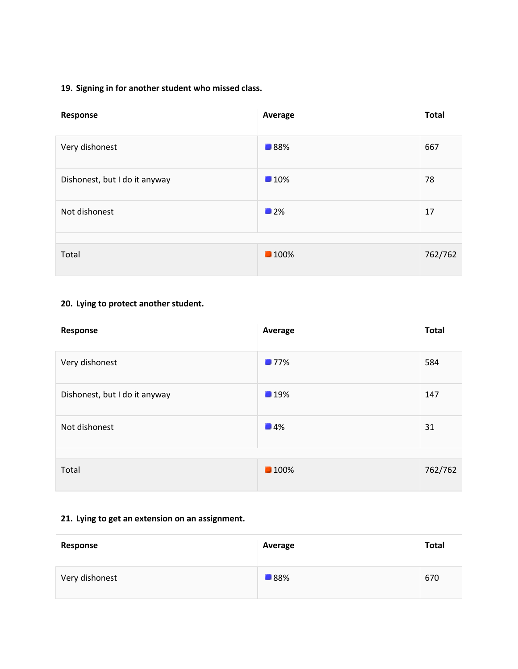### **19. Signing in for another student who missed class.**

| Response                      | Average     | <b>Total</b> |
|-------------------------------|-------------|--------------|
| Very dishonest                | ■88%        | 667          |
| Dishonest, but I do it anyway | 10%         | 78           |
| Not dishonest                 | 12%         | 17           |
|                               |             |              |
| Total                         | <b>100%</b> | 762/762      |

## **20. Lying to protect another student.**

| Response                      | Average           | <b>Total</b> |
|-------------------------------|-------------------|--------------|
| Very dishonest                | 177%              | 584          |
| Dishonest, but I do it anyway | 19%               | 147          |
| Not dishonest                 | $\blacksquare$ 4% | 31           |
| Total                         | <b>100%</b>       | 762/762      |

### **21. Lying to get an extension on an assignment.**

| Response       | Average     | <b>Total</b> |
|----------------|-------------|--------------|
| Very dishonest | <b>188%</b> | 670          |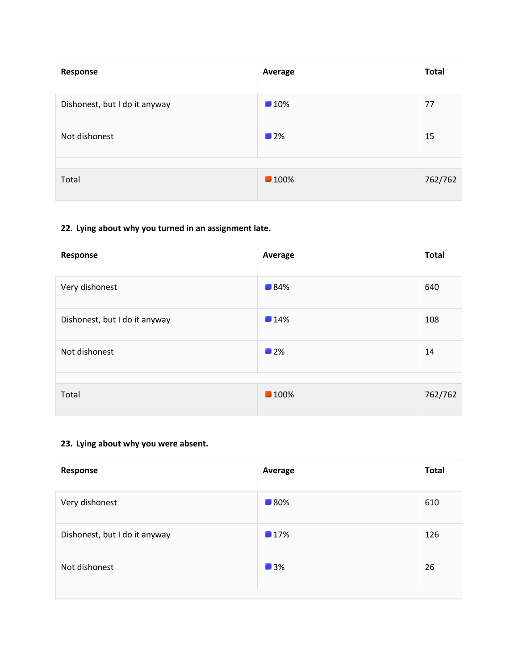| Response                      | Average            | <b>Total</b> |
|-------------------------------|--------------------|--------------|
| Dishonest, but I do it anyway | $\blacksquare$ 10% | 77           |
| Not dishonest                 | 12%                | 15           |
| Total                         | <b>100%</b>        | 762/762      |
|                               |                    |              |

## **22. Lying about why you turned in an assignment late.**

| Response                      | Average     | <b>Total</b> |
|-------------------------------|-------------|--------------|
| Very dishonest                | <b>184%</b> | 640          |
| Dishonest, but I do it anyway | 14%         | 108          |
| Not dishonest                 | 12%         | 14           |
| Total                         | <b>100%</b> | 762/762      |

## **23. Lying about why you were absent.**

| Response                      | Average     | <b>Total</b> |
|-------------------------------|-------------|--------------|
| Very dishonest                | <b>180%</b> | 610          |
| Dishonest, but I do it anyway | 17%         | 126          |
| Not dishonest                 | 13%         | 26           |
|                               |             |              |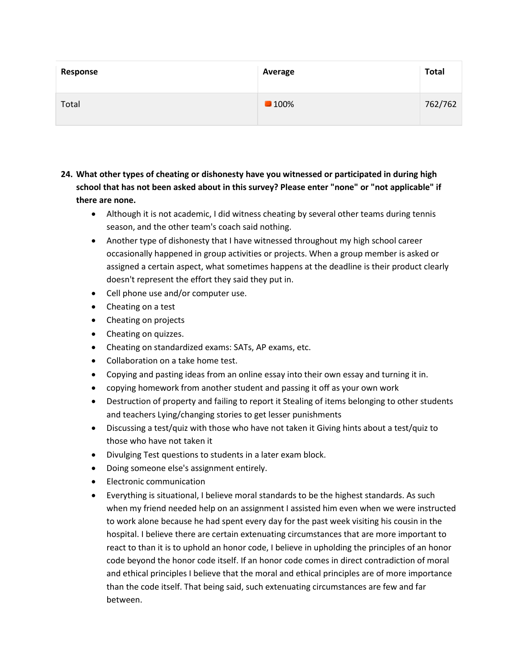| Response | Average             | <b>Total</b> |
|----------|---------------------|--------------|
| Total    | $\blacksquare$ 100% | 762/762      |

- **24. What other types of cheating or dishonesty have you witnessed or participated in during high school that has not been asked about in this survey? Please enter "none" or "not applicable" if there are none.**
	- Although it is not academic, I did witness cheating by several other teams during tennis season, and the other team's coach said nothing.
	- Another type of dishonesty that I have witnessed throughout my high school career occasionally happened in group activities or projects. When a group member is asked or assigned a certain aspect, what sometimes happens at the deadline is their product clearly doesn't represent the effort they said they put in.
	- Cell phone use and/or computer use.
	- Cheating on a test
	- Cheating on projects
	- Cheating on quizzes.
	- Cheating on standardized exams: SATs, AP exams, etc.
	- Collaboration on a take home test.
	- Copying and pasting ideas from an online essay into their own essay and turning it in.
	- copying homework from another student and passing it off as your own work
	- Destruction of property and failing to report it Stealing of items belonging to other students and teachers Lying/changing stories to get lesser punishments
	- Discussing a test/quiz with those who have not taken it Giving hints about a test/quiz to those who have not taken it
	- Divulging Test questions to students in a later exam block.
	- Doing someone else's assignment entirely.
	- Electronic communication
	- Everything is situational, I believe moral standards to be the highest standards. As such when my friend needed help on an assignment I assisted him even when we were instructed to work alone because he had spent every day for the past week visiting his cousin in the hospital. I believe there are certain extenuating circumstances that are more important to react to than it is to uphold an honor code, I believe in upholding the principles of an honor code beyond the honor code itself. If an honor code comes in direct contradiction of moral and ethical principles I believe that the moral and ethical principles are of more importance than the code itself. That being said, such extenuating circumstances are few and far between.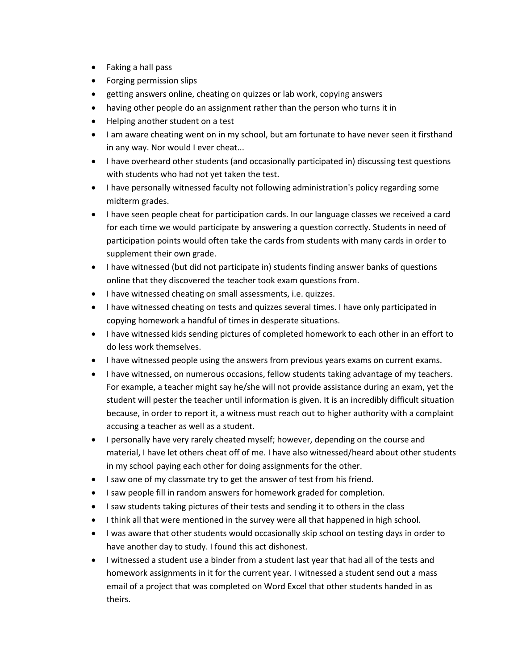- Faking a hall pass
- Forging permission slips
- getting answers online, cheating on quizzes or lab work, copying answers
- having other people do an assignment rather than the person who turns it in
- Helping another student on a test
- I am aware cheating went on in my school, but am fortunate to have never seen it firsthand in any way. Nor would I ever cheat...
- I have overheard other students (and occasionally participated in) discussing test questions with students who had not yet taken the test.
- I have personally witnessed faculty not following administration's policy regarding some midterm grades.
- I have seen people cheat for participation cards. In our language classes we received a card for each time we would participate by answering a question correctly. Students in need of participation points would often take the cards from students with many cards in order to supplement their own grade.
- I have witnessed (but did not participate in) students finding answer banks of questions online that they discovered the teacher took exam questions from.
- I have witnessed cheating on small assessments, i.e. quizzes.
- I have witnessed cheating on tests and quizzes several times. I have only participated in copying homework a handful of times in desperate situations.
- I have witnessed kids sending pictures of completed homework to each other in an effort to do less work themselves.
- I have witnessed people using the answers from previous years exams on current exams.
- I have witnessed, on numerous occasions, fellow students taking advantage of my teachers. For example, a teacher might say he/she will not provide assistance during an exam, yet the student will pester the teacher until information is given. It is an incredibly difficult situation because, in order to report it, a witness must reach out to higher authority with a complaint accusing a teacher as well as a student.
- I personally have very rarely cheated myself; however, depending on the course and material, I have let others cheat off of me. I have also witnessed/heard about other students in my school paying each other for doing assignments for the other.
- I saw one of my classmate try to get the answer of test from his friend.
- I saw people fill in random answers for homework graded for completion.
- I saw students taking pictures of their tests and sending it to others in the class
- I think all that were mentioned in the survey were all that happened in high school.
- I was aware that other students would occasionally skip school on testing days in order to have another day to study. I found this act dishonest.
- I witnessed a student use a binder from a student last year that had all of the tests and homework assignments in it for the current year. I witnessed a student send out a mass email of a project that was completed on Word Excel that other students handed in as theirs.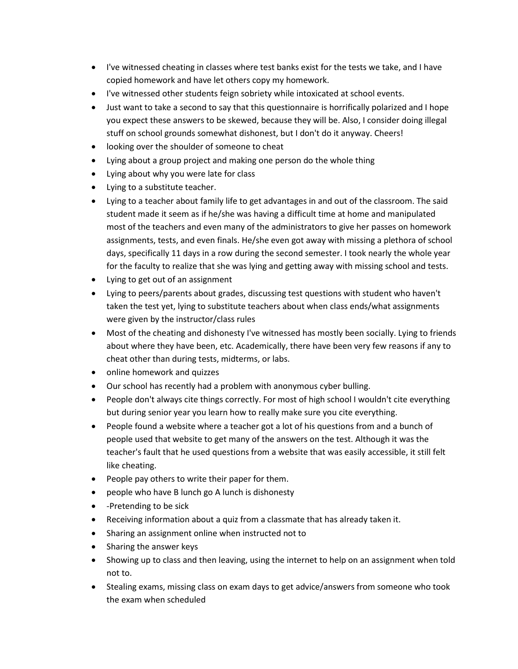- I've witnessed cheating in classes where test banks exist for the tests we take, and I have copied homework and have let others copy my homework.
- I've witnessed other students feign sobriety while intoxicated at school events.
- Just want to take a second to say that this questionnaire is horrifically polarized and I hope you expect these answers to be skewed, because they will be. Also, I consider doing illegal stuff on school grounds somewhat dishonest, but I don't do it anyway. Cheers!
- looking over the shoulder of someone to cheat
- Lying about a group project and making one person do the whole thing
- Lying about why you were late for class
- Lying to a substitute teacher.
- Lying to a teacher about family life to get advantages in and out of the classroom. The said student made it seem as if he/she was having a difficult time at home and manipulated most of the teachers and even many of the administrators to give her passes on homework assignments, tests, and even finals. He/she even got away with missing a plethora of school days, specifically 11 days in a row during the second semester. I took nearly the whole year for the faculty to realize that she was lying and getting away with missing school and tests.
- Lying to get out of an assignment
- Lying to peers/parents about grades, discussing test questions with student who haven't taken the test yet, lying to substitute teachers about when class ends/what assignments were given by the instructor/class rules
- Most of the cheating and dishonesty I've witnessed has mostly been socially. Lying to friends about where they have been, etc. Academically, there have been very few reasons if any to cheat other than during tests, midterms, or labs.
- online homework and quizzes
- Our school has recently had a problem with anonymous cyber bulling.
- People don't always cite things correctly. For most of high school I wouldn't cite everything but during senior year you learn how to really make sure you cite everything.
- People found a website where a teacher got a lot of his questions from and a bunch of people used that website to get many of the answers on the test. Although it was the teacher's fault that he used questions from a website that was easily accessible, it still felt like cheating.
- People pay others to write their paper for them.
- people who have B lunch go A lunch is dishonesty
- -Pretending to be sick
- Receiving information about a quiz from a classmate that has already taken it.
- Sharing an assignment online when instructed not to
- Sharing the answer keys
- Showing up to class and then leaving, using the internet to help on an assignment when told not to.
- Stealing exams, missing class on exam days to get advice/answers from someone who took the exam when scheduled